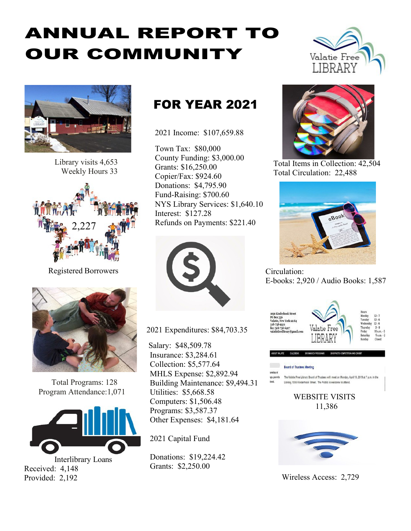# ANNUAL REPORT TO OUR COMMUNITY





Library visits 4,653 Weekly Hours 33



Registered Borrowers



Total Programs: 128 Program Attendance:1,071



Interlibrary Loans Received: 4,148 Provided: 2,192

# FOR YEAR 2021

2021 Income: \$107,659.88

Town Tax: \$80,000 County Funding: \$3,000.00 Grants: \$16,250.00 Copier/Fax: \$924.60 Donations: \$4,795.90 Fund-Raising: \$700.60 NYS Library Services: \$1,640.10 Interest: \$127.28 Refunds on Payments: \$221.40



2021 Expenditures: \$84,703.35

Salary: \$48,509.78 Insurance: \$3,284.61 Collection: \$5,577.64 MHLS Expense: \$2,892.94 Building Maintenance: \$9,494.31 Utilities: \$5,668.58 Computers: \$1,506.48 Programs: \$3,587.37 Other Expenses: \$4,181.64

2021 Capital Fund

Donations: \$19,224.42 Grants: \$2,250.00



Total Items in Collection: 42,504 Total Circulation: 22,488



Circulation: E-books: 2,920 / Audio Books: 1,587



Wireless Access: 2,729